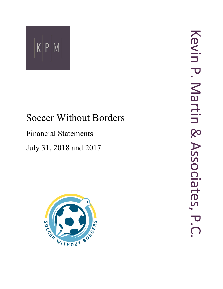

# Soccer Without Borders

## Financial Statement s

July 31, 2018 and 2017

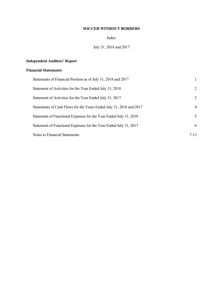Index

### July 31, 2018 and 2017

## **Independent Auditors' Report**

#### **Financial Statements:**

| Statements of Financial Position as of July 31, 2018 and 2017       |        |
|---------------------------------------------------------------------|--------|
| Statement of Activities for the Year Ended July 31, 2018            | 2      |
| Statement of Activities for the Year Ended July 31, 2017            | 3      |
| Statements of Cash Flows for the Years Ended July 31, 2018 and 2017 | 4      |
| Statement of Functional Expenses for the Year Ended July 31, 2018   | 5      |
| Statement of Functional Expenses for the Year Ended July 31, 2017   | 6      |
| Notes to Financial Statements                                       | $7-13$ |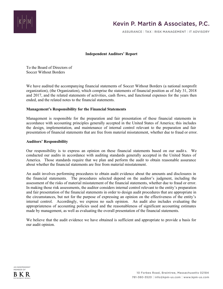

## Kevin P. Martin & Associates, P.C.

ASSURANCE | TAX | RISK MANAGEMENT | IT ADVISORY

#### **Independent Auditors' Report**

To the Board of Directors of Soccer Without Borders

We have audited the accompanying financial statements of Soccer Without Borders (a national nonprofit organization), (the Organization), which comprise the statements of financial position as of July 31, 2018 and 2017, and the related statements of activities, cash flows, and functional expenses for the years then ended, and the related notes to the financial statements.

#### **Management's Responsibility for the Financial Statements**

Management is responsible for the preparation and fair presentation of these financial statements in accordance with accounting principles generally accepted in the United States of America; this includes the design, implementation, and maintenance of internal control relevant to the preparation and fair presentation of financial statements that are free from material misstatement, whether due to fraud or error.

#### **Auditors' Responsibility**

Our responsibility is to express an opinion on these financial statements based on our audits. We conducted our audits in accordance with auditing standards generally accepted in the United States of America. Those standards require that we plan and perform the audit to obtain reasonable assurance about whether the financial statements are free from material misstatement.

An audit involves performing procedures to obtain audit evidence about the amounts and disclosures in the financial statements. The procedures selected depend on the auditor's judgment, including the assessment of the risks of material misstatement of the financial statements, whether due to fraud or error. In making those risk assessments, the auditor considers internal control relevant to the entity's preparation and fair presentation of the financial statements in order to design audit procedures that are appropriate in the circumstances, but not for the purpose of expressing an opinion on the effectiveness of the entity's internal control. Accordingly, we express no such opinion. An audit also includes evaluating the appropriateness of accounting policies used and the reasonableness of significant accounting estimates made by management, as well as evaluating the overall presentation of the financial statements.

We believe that the audit evidence we have obtained is sufficient and appropriate to provide a basis for our audit opinion.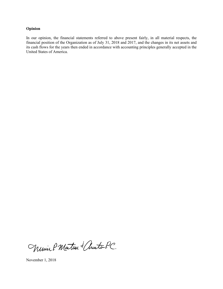#### **Opinion**

In our opinion, the financial statements referred to above present fairly, in all material respects, the financial position of the Organization as of July 31, 2018 and 2017, and the changes in its net assets and its cash flows for the years then ended in accordance with accounting principles generally accepted in the United States of America.

Nuin P. Martin & Churto-PC.

November 1, 2018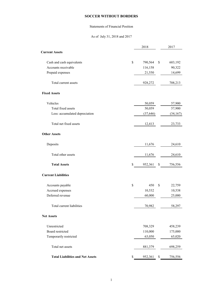#### Statements of Financial Position

#### As of July 31, 2018 and 2017

|                                         | 2018          |             | 2017      |
|-----------------------------------------|---------------|-------------|-----------|
| <b>Current Assets</b>                   |               |             |           |
| Cash and cash equivalents               | \$<br>790,564 | $\mathbb S$ | 603,192   |
| Accounts receivable                     | 116,158       |             | 90,322    |
| Prepaid expenses                        | 21,550        |             | 14,699    |
| Total current assets                    | 928,272       |             | 708,213   |
| <b>Fixed Assets</b>                     |               |             |           |
| Vehicles                                | 50,059        |             | 57,900    |
| Total fixed assets                      | 50,059        |             | 57,900    |
| Less: accumulated depreciation          | (37, 646)     |             | (34, 167) |
| Total net fixed assets                  | 12,413        |             | 23,733    |
| <b>Other Assets</b>                     |               |             |           |
| Deposits                                | 11,676        |             | 24,610    |
| Total other assets                      | 11,676        |             | 24,610    |
| <b>Total Assets</b>                     | \$<br>952,361 | \$          | 756,556   |
| <b>Current Liabilities</b>              |               |             |           |
| Accounts payable                        | \$<br>450     | \$          | 22,759    |
| Accrued expenses                        | 10,532        |             | 10,538    |
| Deferred revenue                        | 60,000        |             | 25,000    |
| Total current liabilities               | 70,982        |             | 58,297    |
| <b>Net Assets</b>                       |               |             |           |
| Unrestricted                            | 708,329       |             | 458,239   |
| Board restricted                        | 110,000       |             | 175,000   |
| Temporarily restricted                  | 63,050        |             | 65,020    |
| Total net assets                        | 881,379       |             | 698,259   |
| <b>Total Liabilities and Net Assets</b> | \$<br>952,361 | \$          | 756,556   |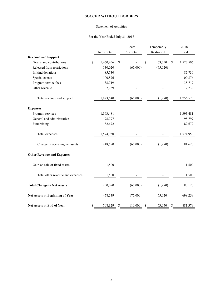#### Statement of Activities

|                                        |                 | Board         | Temporarily  | 2018            |
|----------------------------------------|-----------------|---------------|--------------|-----------------|
|                                        | Unrestricted    | Restricted    | Restricted   | Total           |
| <b>Revenue and Support</b>             |                 |               |              |                 |
| Grants and contributions               | \$<br>1,460,456 | \$            | \$<br>63,050 | \$<br>1,523,506 |
| Released from restrictions             | 130,020         | (65,000)      | (65,020)     |                 |
| In-kind donations                      | 85,730          |               |              | 85,730          |
| Special events                         | 100,876         |               |              | 100,876         |
| Program service fees                   | 38,719          |               |              | 38,719          |
| Other revenue                          | 7,739           |               |              | 7,739           |
| Total revenue and support              | 1,823,540       | (65,000)      | (1,970)      | 1,756,570       |
| <b>Expenses</b>                        |                 |               |              |                 |
| Program services                       | 1,393,481       |               |              | 1,393,481       |
| General and administrative             | 98,797          |               |              | 98,797          |
| Fundraising                            | 82,672          |               |              | 82,672          |
| Total expenses                         | 1,574,950       |               |              | 1,574,950       |
| Change in operating net assets         | 248,590         | (65,000)      | (1,970)      | 181,620         |
| <b>Other Revenue and Expenses</b>      |                 |               |              |                 |
| Gain on sale of fixed assets           | 1,500           |               |              | 1,500           |
| Total other revenue and expenses       | 1,500           |               |              | 1,500           |
| <b>Total Change in Net Assets</b>      | 250,090         | (65,000)      | (1,970)      | 183,120         |
| <b>Net Assets at Beginning of Year</b> | 458,239         | 175,000       | 65,020       | 698,259         |
| Net Assets at End of Year              | \$<br>708,329   | \$<br>110,000 | \$<br>63,050 | \$<br>881,379   |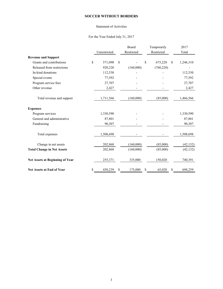#### Statement of Activities

|                                        |             |              |               | Board      | Temporarily   | 2017            |
|----------------------------------------|-------------|--------------|---------------|------------|---------------|-----------------|
|                                        |             | Unrestricted |               | Restricted | Restricted    | Total           |
| <b>Revenue and Support</b>             |             |              |               |            |               |                 |
| Grants and contributions               | $\mathbf S$ | 571,090      | <sup>\$</sup> |            | \$<br>675,220 | \$<br>1,246,310 |
| Released from restrictions             |             | 920,220      |               | (160,000)  | (760, 220)    |                 |
| In-kind donations                      |             | 112,530      |               |            |               | 112,530         |
| Special events                         |             | 77,592       |               |            |               | 77,592          |
| Program service fees                   |             | 27,707       |               |            |               | 27,707          |
| Other revenue                          |             | 2,427        |               |            |               | 2,427           |
| Total revenue and support              |             | 1,711,566    |               | (160,000)  | (85,000)      | 1,466,566       |
| <b>Expenses</b>                        |             |              |               |            |               |                 |
| Program services                       |             | 1,330,590    |               |            |               | 1,330,590       |
| General and administrative             |             | 87,801       |               |            |               | 87,801          |
| Fundraising                            |             | 90,307       |               |            |               | 90,307          |
| Total expenses                         |             | 1,508,698    |               |            |               | 1,508,698       |
| Change in net assets                   |             | 202,868      |               | (160,000)  | (85,000)      | (42, 132)       |
| <b>Total Change in Net Assets</b>      |             | 202,868      |               | (160,000)  | (85,000)      | (42, 132)       |
| <b>Net Assets at Beginning of Year</b> |             | 255,371      |               | 335,000    | 150,020       | 740,391         |
| <b>Net Assets at End of Year</b>       | \$          | 458,239      | \$            | 175,000    | \$<br>65,020  | \$<br>698,259   |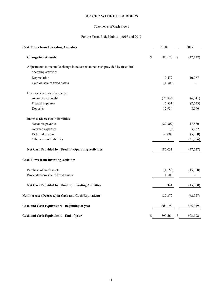#### Statements of Cash Flows

#### For the Years Ended July 31, 2018 and 2017

| <b>Cash Flows from Operating Activities</b>                                                              | 2018              | 2017            |
|----------------------------------------------------------------------------------------------------------|-------------------|-----------------|
| Change in net assets                                                                                     | \$<br>183,120     | \$<br>(42, 132) |
| Adjustments to reconcile change in net assets to net cash provided by (used in)<br>operating activities: |                   |                 |
|                                                                                                          |                   |                 |
| Depreciation<br>Gain on sale of fixed assets                                                             | 12,479<br>(1,500) | 10,767          |
|                                                                                                          |                   |                 |
| Decrease (increase) in assets:                                                                           |                   |                 |
| Accounts receivable                                                                                      | (25, 836)         | (6, 841)        |
| Prepaid expenses                                                                                         | (6, 851)          | (2,623)         |
| Deposits                                                                                                 | 12,934            | 8,096           |
| Increase (decrease) in liabilities:                                                                      |                   |                 |
| Accounts payable                                                                                         | (22, 309)         | 17,560          |
| Accrued expenses                                                                                         | (6)               | 3,752           |
| Deferred revenue                                                                                         | 35,000            | (5,000)         |
| Other current liabilities                                                                                |                   | (31, 306)       |
| Net Cash Provided by (Used in) Operating Activities                                                      | 187,031           | (47, 727)       |
| <b>Cash Flows from Investing Activities</b>                                                              |                   |                 |
| Purchase of fixed assets                                                                                 | (1, 159)          | (15,000)        |
| Proceeds from sale of fixed assets                                                                       | 1,500             |                 |
| Net Cash Provided by (Used in) Investing Activities                                                      | 341               | (15,000)        |
| Net Increase (Decrease) in Cash and Cash Equivalents                                                     | 187,372           | (62, 727)       |
| Cash and Cash Equivalents - Beginning of year                                                            | 603,192           | 665,919         |
| Cash and Cash Equivalents - End of year                                                                  | \$<br>790,564     | \$<br>603,192   |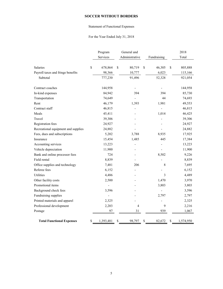#### Statement of Functional Expenses

|                                     |               | Program   | General and    |              | 2018            |
|-------------------------------------|---------------|-----------|----------------|--------------|-----------------|
|                                     |               | Services  | Administrative | Fundraising  | Total           |
|                                     |               |           |                |              |                 |
| Salaries                            | $\mathsf{\$}$ | 678,864   | \$<br>80,719   | \$<br>46,305 | \$<br>805,888   |
| Payroll taxes and fringe benefits   |               | 98,366    | 10,777         | 6,023        | 115,166         |
| Subtotal                            |               | 777,230   | 91,496         | 52,328       | 921,054         |
| Contract coaches                    |               | 144,958   |                |              | 144,958         |
| In-kind expenses                    |               | 84,942    | 394            | 394          | 85,730          |
| Transportation                      |               | 74,649    |                | 44           | 74,693          |
| Rent                                |               | 46,179    | 1,393          | 1,981        | 49,553          |
| Contract staff                      |               | 46,815    |                |              | 46,815          |
| Meals                               |               | 45,411    |                | 1,014        | 46,425          |
| Travel                              |               | 39,306    |                |              | 39,306          |
| Registration fees                   |               | 24,927    |                |              | 24,927          |
| Recreational equipment and supplies |               | 24,882    |                |              | 24,882          |
| Fees, dues and subscriptions        |               | 5,202     | 3,788          | 8,935        | 17,925          |
| Insurance                           |               | 15,454    | 1,485          | 445          | 17,384          |
| Accounting services                 |               | 13,223    |                |              | 13,223          |
| Vehicle depreciation                |               | 11,900    |                |              | 11,900          |
| Bank and online processor fees      |               | 724       |                | 8,502        | 9,226           |
| Field rental                        |               | 8,839     |                |              | 8,839           |
| Office supplies and technology      |               | 7,481     | 206            | 8            | 7,695           |
| Referee fees                        |               | 6,152     |                |              | 6,152           |
| Utilities                           |               | 4,486     |                | 3            | 4,489           |
| Other facility costs                |               | 2,500     |                | 1,470        | 3,970           |
| Promotional items                   |               |           |                | 3,803        | 3,803           |
| Background check fees               |               | 3,596     |                |              | 3,596           |
| Fundraising supplies                |               |           |                | 2,797        | 2,797           |
| Printed materials and apparel       |               | 2,325     |                |              | 2,325           |
| Professional development            |               | 2,203     | $\overline{4}$ | 9            | 2,216           |
| Postage                             |               | 97        | 31             | 939          | 1,067           |
| <b>Total Functional Expenses</b>    | \$            | 1,393,481 | \$<br>98,797   | \$<br>82,672 | \$<br>1,574,950 |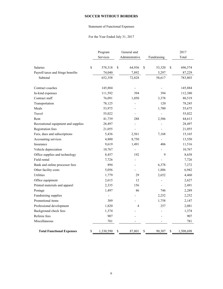#### Statement of Functional Expenses

|                                     | Program         | General and    |             |             |             | 2017      |
|-------------------------------------|-----------------|----------------|-------------|-------------|-------------|-----------|
|                                     | Services        | Administrative |             | Fundraising |             | Total     |
| <b>Salaries</b>                     | \$<br>578,318   | \$<br>64,936   | $\mathbb S$ | 53,320      | $\mathbb S$ | 696,574   |
| Payroll taxes and fringe benefits   | 74,040          | 7,892          |             | 5,297       |             | 87,229    |
| Subtotal                            | 652,358         | 72,828         |             | 58,617      |             | 783,803   |
| Contract coaches                    | 145,884         |                |             |             |             | 145,884   |
| In-kind expenses                    | 111,592         | 394            |             | 394         |             | 112,380   |
| Contract staff                      | 76,091          | 1,050          |             | 3,378       |             | 80,519    |
| Transportation                      | 78,125          |                |             | 120         |             | 78,245    |
| Meals                               | 53,975          |                |             | 1,700       |             | 55,675    |
| Travel                              | 55,022          |                |             |             |             | 55,022    |
| Rent                                | 41,739          | 288            |             | 2,586       |             | 44,613    |
| Recreational equipment and supplies | 28,497          |                |             |             |             | 28,497    |
| Registration fees                   | 21,055          |                |             |             |             | 21,055    |
| Fees, dues and subscriptions        | 5,436           | 2,561          |             | 7,168       |             | 15,165    |
| Accounting services                 | 4,800           | 8,750          |             |             |             | 13,550    |
| Insurance                           | 9,619           | 1,491          |             | 406         |             | 11,516    |
| Vehicle depreciation                | 10,767          |                |             |             |             | 10,767    |
| Office supplies and technology      | 8,457           | 192            |             | 9           |             | 8,658     |
| Field rental                        | 7,726           |                |             |             |             | 7,726     |
| Bank and online processor fees      | 894             |                |             | 6,378       |             | 7,272     |
| Other facility costs                | 5,056           |                |             | 1,886       |             | 6,942     |
| Utilities                           | 1,779           | 29             |             | 2,652       |             | 4,460     |
| Office equipment                    | 2,615           | 12             |             |             |             | 2,627     |
| Printed materials and apparel       | 2,335           | 156            |             |             |             | 2,491     |
| Postage                             | 1,497           | 46             |             | 746         |             | 2,289     |
| Fundraising supplies                |                 |                |             | 2,252       |             | 2,252     |
| Promotional items                   | 389             |                |             | 1,758       |             | 2,147     |
| Professional development            | 1,820           | $\overline{4}$ |             | 257         |             | 2,081     |
| Background check fees               | 1,374           |                |             |             |             | 1,374     |
| Referee fees                        | 907             |                |             |             |             | 907       |
| Miscellaneous                       | 781             |                |             |             |             | 781       |
| <b>Total Functional Expenses</b>    | \$<br>1,330,590 | \$<br>87,801   | \$          | 90,307      | \$          | 1,508,698 |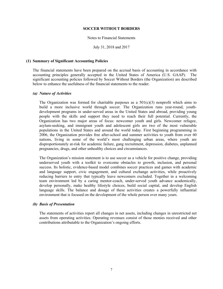#### Notes to Financial Statements

#### July 31, 2018 and 2017

#### **(1) Summary of Significant Accounting Policies**

The financial statements have been prepared on the accrual basis of accounting in accordance with accounting principles generally accepted in the United States of America (U.S. GAAP). The significant accounting policies followed by Soccer Without Borders (the Organization) are described below to enhance the usefulness of the financial statements to the reader.

#### *(a) Nature of Activities*

The Organization was formed for charitable purposes as a  $501(c)(3)$  nonprofit which aims to build a more inclusive world through soccer. The Organization runs year-round, youthdevelopment programs in under-served areas in the United States and abroad, providing young people with the skills and support they need to reach their full potential. Currently, the Organization has two major areas of focus: newcomer youth and girls. Newcomer refugee, asylum-seeking, and immigrant youth and adolescent girls are two of the most vulnerable populations in the United States and around the world today. First beginning programming in 2006, the Organization provides free after-school and summer activities to youth from over 60 nations, living in some of the world's most challenging urban areas, where youth are disproportionately at-risk for academic failure, gang recruitment, depression, diabetes, unplanned pregnancies, drugs, and other unhealthy choices and circumstances.

The Organization's mission statement is to use soccer as a vehicle for positive change, providing underserved youth with a toolkit to overcome obstacles to growth, inclusion, and personal success. Its holistic, evidence-based model combines soccer practices and games with academic and language support, civic engagement, and cultural exchange activities, while proactively reducing barriers to entry that typically leave newcomers excluded. Together in a welcoming team environment led by a caring mentor-coach, under-served youth advance academically, develop personally, make healthy lifestyle choices, build social capital, and develop English language skills. The balance and dosage of these activities creates a powerfully influential environment that is focused on the development of the whole person over many years.

#### *(b) Basis of Presentation*

The statements of activities report all changes in net assets, including changes in unrestricted net assets from operating activities. Operating revenues consist of those monies received and other contributions attributable to the Organization's ongoing efforts.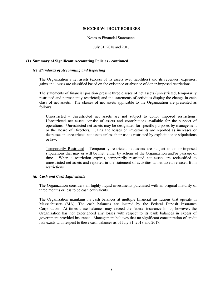#### Notes to Financial Statements

July 31, 2018 and 2017

#### **(1) Summary of Significant Accounting Policies - continued**

#### *(c) Standards of Accounting and Reporting*

The Organization's net assets (excess of its assets over liabilities) and its revenues, expenses, gains and losses are classified based on the existence or absence of donor-imposed restrictions.

The statements of financial position present three classes of net assets (unrestricted, temporarily restricted and permanently restricted) and the statements of activities display the change in each class of net assets. The classes of net assets applicable to the Organization are presented as follows:

Unrestricted - Unrestricted net assets are not subject to donor imposed restrictions. Unrestricted net assets consist of assets and contributions available for the support of operations. Unrestricted net assets may be designated for specific purposes by management or the Board of Directors. Gains and losses on investments are reported as increases or decreases in unrestricted net assets unless their use is restricted by explicit donor stipulations or law.

Temporarily Restricted - Temporarily restricted net assets are subject to donor-imposed stipulations that may or will be met, either by actions of the Organization and/or passage of time. When a restriction expires, temporarily restricted net assets are reclassified to unrestricted net assets and reported in the statement of activities as net assets released from restrictions.

#### *(d) Cash and Cash Equivalents*

The Organization considers all highly liquid investments purchased with an original maturity of three months or less to be cash equivalents.

The Organization maintains its cash balances at multiple financial institutions that operate in Massachusetts (MA). The cash balances are insured by the Federal Deposit Insurance Corporation. At times these balances may exceed the federal insurance limits; however, the Organization has not experienced any losses with respect to its bank balances in excess of government provided insurance. Management believes that no significant concentration of credit risk exists with respect to these cash balances as of July 31, 2018 and 2017.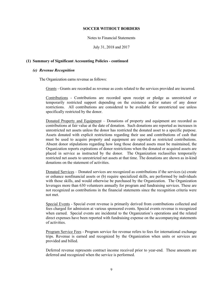#### Notes to Financial Statements

July 31, 2018 and 2017

#### **(1) Summary of Significant Accounting Policies - continued**

#### *(e) Revenue Recognition*

The Organization earns revenue as follows:

Grants - Grants are recorded as revenue as costs related to the services provided are incurred.

Contributions - Contributions are recorded upon receipt or pledge as unrestricted or temporarily restricted support depending on the existence and/or nature of any donor restrictions. All contributions are considered to be available for unrestricted use unless specifically restricted by the donor.

Donated Property and Equipment – Donations of property and equipment are recorded as contributions at fair value at the date of donation. Such donations are reported as increases in unrestricted net assets unless the donor has restricted the donated asset to a specific purpose. Assets donated with explicit restrictions regarding their use and contributions of cash that must be used to acquire property and equipment are reported as restricted contributions. Absent donor stipulations regarding how long those donated assets must be maintained, the Organization reports expirations of donor restrictions when the donated or acquired assets are placed in service as instructed by the donor. The Organization reclassifies temporarily restricted net assets to unrestricted net assets at that time. The donations are shown as in-kind donations on the statement of activities.

Donated Services – Donated services are recognized as contributions if the services (a) create or enhance nonfinancial assets or (b) require specialized skills, are performed by individuals with those skills, and would otherwise be purchased by the Organization. The Organization leverages more than 630 volunteers annually for program and fundraising services. These are not recognized as contributions in the financial statements since the recognition criteria were not met.

Special Events - Special event revenue is primarily derived from contributions collected and fees charged for admission at various sponsored events. Special events revenue is recognized when earned. Special events are incidental to the Organization's operations and the related direct expenses have been reported with fundraising expense on the accompanying statements of activities.

Program Service Fees - Program service fee revenue refers to fees for international exchange trips. Revenue is earned and recognized by the Organization when units or services are provided and billed.

Deferred revenue represents contract income received prior to year-end. These amounts are deferred and recognized when the service is performed.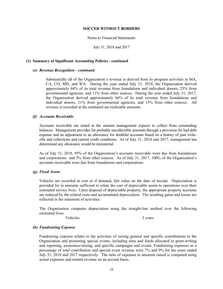#### Notes to Financial Statements

July 31, 2018 and 2017

#### **(1) Summary of Significant Accounting Policies - continued**

#### *(e) Revenue Recognition - continued*

Substantially all of the Organization's revenue is derived from its program activities in MA, CA, CO, MD, and WA. During the year ended July 31, 2018, the Organization derived approximately 64% of its total revenue from foundations and individual donors, 25% from governmental agencies, and 11% from other sources. During the year ended July 31, 2017, the Organization derived approximately 66% of its total revenue from foundations and individual donors, 21% from governmental agencies, and 13% from other sources. All revenue is recorded at the estimated net realizable amounts.

#### *(f) Accounts Receivable*

Accounts receivable are stated at the amount management expects to collect from outstanding balances. Management provides for probable uncollectible amounts through a provision for bad debt expense and an adjustment to an allowance for doubtful accounts based on a history of past writeoffs and collections and current credit conditions. As of July 31, 2018 and 2017, management has determined any allowance would be immaterial.

As of July 31, 2018, 95% of the Organization's accounts receivable were due from foundations and corporations and 5% from other sources. As of July 31, 2017, 100% of the Organization's accounts receivable were due from foundations and corporations.

#### *(g) Fixed Assets*

Vehicles are recorded at cost or if donated, fair value on the date of receipt. Depreciation is provided for in amounts sufficient to relate the cost of depreciable assets to operations over their estimated service lives. Upon disposal of depreciable property, the appropriate property accounts are reduced by the related costs and accumulated depreciation. The resulting gains and losses are reflected in the statement of activities.

The Organization computes depreciation using the straight-line method over the following estimated lives:

Vehicles 3 years 3 years

#### *(h) Fundraising Expense*

Fundraising expense relates to the activities of raising general and specific contributions to the Organization and promoting special events, including time and funds allocated to grant-writing and reporting, awareness-raising, and specific campaigns and events. Fundraising expenses as a percentage of total contribution and special event revenue were 7% and 9% for the years ended July 31, 2018 and 2017 respectively. The ratio of expenses to amounts raised is computed using actual expenses and related revenue on an accrual basis**.**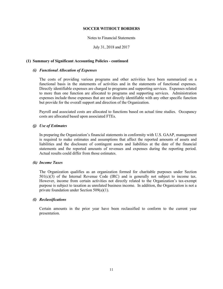#### Notes to Financial Statements

July 31, 2018 and 2017

#### **(1) Summary of Significant Accounting Policies - continued**

#### *(i) Functional Allocation of Expenses*

The costs of providing various programs and other activities have been summarized on a functional basis in the statements of activities and in the statements of functional expenses. Directly identifiable expenses are charged to programs and supporting services. Expenses related to more than one function are allocated to programs and supporting services. Administration expenses include those expenses that are not directly identifiable with any other specific function but provide for the overall support and direction of the Organization.

Payroll and associated costs are allocated to functions based on actual time studies. Occupancy costs are allocated based upon associated FTEs.

#### *(j) Use of Estimates*

In preparing the Organization's financial statements in conformity with U.S. GAAP, management is required to make estimates and assumptions that affect the reported amounts of assets and liabilities and the disclosure of contingent assets and liabilities at the date of the financial statements and the reported amounts of revenues and expenses during the reporting period. Actual results could differ from those estimates.

#### *(k) Income Taxes*

The Organization qualifies as an organization formed for charitable purposes under Section  $501(c)(3)$  of the Internal Revenue Code (IRC) and is generally not subject to income tax. However, income from certain activities not directly related to the Organization's tax-exempt purpose is subject to taxation as unrelated business income. In addition, the Organization is not a private foundation under Section 509(a)(1).

#### *(l) Reclassifications*

Certain amounts in the prior year have been reclassified to conform to the current year presentation.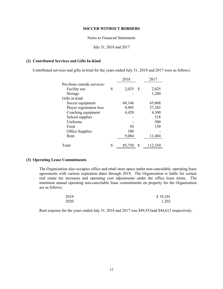#### Notes to Financial Statements

July 31, 2018 and 2017

#### **(2) Contributed Services and Gifts In-Kind**

Contributed services and gifts in-kind for the years ended July 31, 2018 and 2017 were as follows:

|   | 2018   |      | 2017    |
|---|--------|------|---------|
|   |        |      |         |
| S | 2,025  | - \$ | 2,025   |
|   |        |      | 1,200   |
|   |        |      |         |
|   | 60,146 |      | 65,068  |
|   | 9,905  |      | 27,285  |
|   | 4,420  |      | 4,300   |
|   |        |      | 518     |
|   |        |      | 500     |
|   | 50     |      | 150     |
|   | 100    |      |         |
|   | 9,084  |      | 11,484  |
| S | 85,730 | S    | 112,530 |
|   |        |      |         |

#### **(3) Operating Lease Commitments**

The Organization also occupies office and retail store space under non-cancelable, operating lease agreements with various expiration dates through 2019. The Organization is liable for certain real estate tax increases and operating cost adjustments under the office lease terms. The minimum annual operating non-cancelable lease commitments on property for the Organization are as follows:

| 2019 | \$19,101 |
|------|----------|
| 2020 | 1,202    |

Rent expense for the years ended July 31, 2018 and 2017 was \$49,553and \$44,613 respectively.